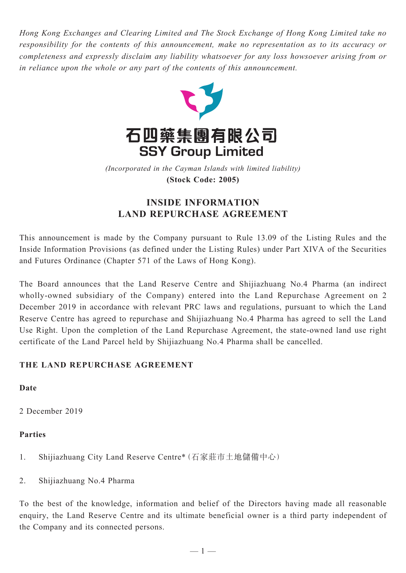*Hong Kong Exchanges and Clearing Limited and The Stock Exchange of Hong Kong Limited take no responsibility for the contents of this announcement, make no representation as to its accuracy or completeness and expressly disclaim any liability whatsoever for any loss howsoever arising from or in reliance upon the whole or any part of the contents of this announcement.*



(Incorporated in the Cayman Islands with limited liability) **(Stock Code: 2005)** *(Incorporated in the Cayman Islands with limited liability)* **(Stock Code: 2005)**

# **INSIDE INFORMATION LAND REPURCHASE AGREEMENT**

This announcement is made by the Company pursuant to Rule 13.09 of the Listing Rules and the Inside Information Provisions (as defined under the Listing Rules) under Part XIVA of the Securities and Futures Ordinance (Chapter 571 of the Laws of Hong Kong).

The Board announces that the Land Reserve Centre and Shijiazhuang No.4 Pharma (an indirect wholly-owned subsidiary of the Company) entered into the Land Repurchase Agreement on 2 December 2019 in accordance with relevant PRC laws and regulations, pursuant to which the Land Reserve Centre has agreed to repurchase and Shijiazhuang No.4 Pharma has agreed to sell the Land Use Right. Upon the completion of the Land Repurchase Agreement, the state-owned land use right certificate of the Land Parcel held by Shijiazhuang No.4 Pharma shall be cancelled.

# **THE LAND REPURCHASE AGREEMENT**

# **Date**

2 December 2019

# **Parties**

- 1. Shijiazhuang City Land Reserve Centre\*(石家莊市土地儲備中心)
- 2. Shijiazhuang No.4 Pharma

To the best of the knowledge, information and belief of the Directors having made all reasonable enquiry, the Land Reserve Centre and its ultimate beneficial owner is a third party independent of the Company and its connected persons.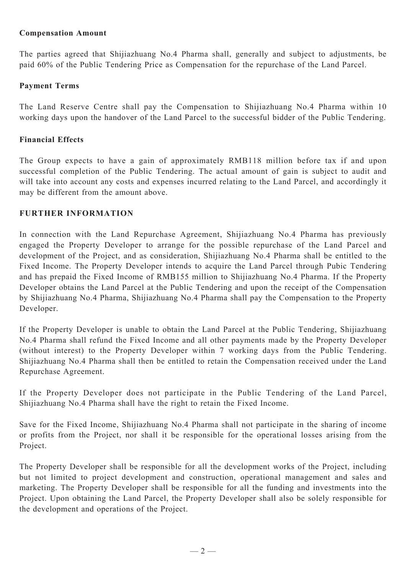### **Compensation Amount**

The parties agreed that Shijiazhuang No.4 Pharma shall, generally and subject to adjustments, be paid 60% of the Public Tendering Price as Compensation for the repurchase of the Land Parcel.

#### **Payment Terms**

The Land Reserve Centre shall pay the Compensation to Shijiazhuang No.4 Pharma within 10 working days upon the handover of the Land Parcel to the successful bidder of the Public Tendering.

#### **Financial Effects**

The Group expects to have a gain of approximately RMB118 million before tax if and upon successful completion of the Public Tendering. The actual amount of gain is subject to audit and will take into account any costs and expenses incurred relating to the Land Parcel, and accordingly it may be different from the amount above.

#### **FURTHER INFORMATION**

In connection with the Land Repurchase Agreement, Shijiazhuang No.4 Pharma has previously engaged the Property Developer to arrange for the possible repurchase of the Land Parcel and development of the Project, and as consideration, Shijiazhuang No.4 Pharma shall be entitled to the Fixed Income. The Property Developer intends to acquire the Land Parcel through Pubic Tendering and has prepaid the Fixed Income of RMB155 million to Shijiazhuang No.4 Pharma. If the Property Developer obtains the Land Parcel at the Public Tendering and upon the receipt of the Compensation by Shijiazhuang No.4 Pharma, Shijiazhuang No.4 Pharma shall pay the Compensation to the Property Developer.

If the Property Developer is unable to obtain the Land Parcel at the Public Tendering, Shijiazhuang No.4 Pharma shall refund the Fixed Income and all other payments made by the Property Developer (without interest) to the Property Developer within 7 working days from the Public Tendering. Shijiazhuang No.4 Pharma shall then be entitled to retain the Compensation received under the Land Repurchase Agreement.

If the Property Developer does not participate in the Public Tendering of the Land Parcel, Shijiazhuang No.4 Pharma shall have the right to retain the Fixed Income.

Save for the Fixed Income, Shijiazhuang No.4 Pharma shall not participate in the sharing of income or profits from the Project, nor shall it be responsible for the operational losses arising from the Project.

The Property Developer shall be responsible for all the development works of the Project, including but not limited to project development and construction, operational management and sales and marketing. The Property Developer shall be responsible for all the funding and investments into the Project. Upon obtaining the Land Parcel, the Property Developer shall also be solely responsible for the development and operations of the Project.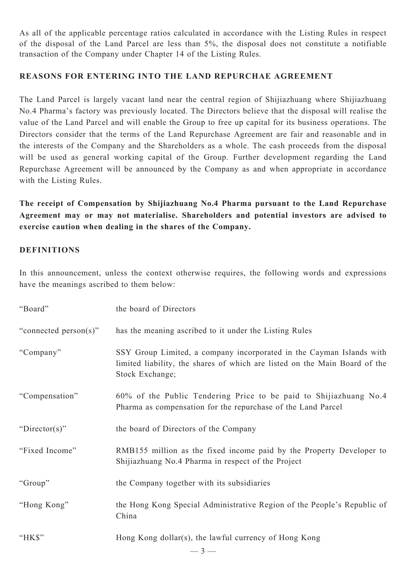As all of the applicable percentage ratios calculated in accordance with the Listing Rules in respect of the disposal of the Land Parcel are less than 5%, the disposal does not constitute a notifiable transaction of the Company under Chapter 14 of the Listing Rules.

### **REASONS FOR ENTERING INTO THE LAND REPURCHAE AGREEMENT**

The Land Parcel is largely vacant land near the central region of Shijiazhuang where Shijiazhuang No.4 Pharma's factory was previously located. The Directors believe that the disposal will realise the value of the Land Parcel and will enable the Group to free up capital for its business operations. The Directors consider that the terms of the Land Repurchase Agreement are fair and reasonable and in the interests of the Company and the Shareholders as a whole. The cash proceeds from the disposal will be used as general working capital of the Group. Further development regarding the Land Repurchase Agreement will be announced by the Company as and when appropriate in accordance with the Listing Rules.

**The receipt of Compensation by Shijiazhuang No.4 Pharma pursuant to the Land Repurchase Agreement may or may not materialise. Shareholders and potential investors are advised to exercise caution when dealing in the shares of the Company.**

### **DEFINITIONS**

In this announcement, unless the context otherwise requires, the following words and expressions have the meanings ascribed to them below:

| "Board"               | the board of Directors                                                                                                                                                |
|-----------------------|-----------------------------------------------------------------------------------------------------------------------------------------------------------------------|
| "connected person(s)" | has the meaning ascribed to it under the Listing Rules                                                                                                                |
| "Company"             | SSY Group Limited, a company incorporated in the Cayman Islands with<br>limited liability, the shares of which are listed on the Main Board of the<br>Stock Exchange; |
| "Compensation"        | 60% of the Public Tendering Price to be paid to Shijiazhuang No.4<br>Pharma as compensation for the repurchase of the Land Parcel                                     |
| "Director(s)"         | the board of Directors of the Company                                                                                                                                 |
| "Fixed Income"        | RMB155 million as the fixed income paid by the Property Developer to<br>Shijiazhuang No.4 Pharma in respect of the Project                                            |
| "Group"               | the Company together with its subsidiaries                                                                                                                            |
| "Hong Kong"           | the Hong Kong Special Administrative Region of the People's Republic of<br>China                                                                                      |
| " $HKS$ "             | Hong Kong dollar(s), the lawful currency of Hong Kong                                                                                                                 |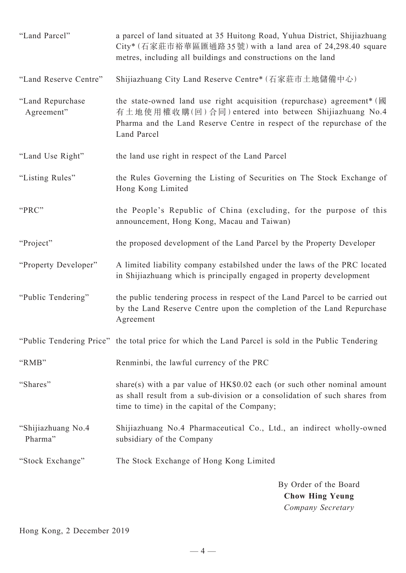| "Land Parcel"                  | a parcel of land situated at 35 Huitong Road, Yuhua District, Shijiazhuang<br>City* (石家莊市裕華區匯通路35號) with a land area of 24,298.40 square<br>metres, including all buildings and constructions on the land                           |
|--------------------------------|-------------------------------------------------------------------------------------------------------------------------------------------------------------------------------------------------------------------------------------|
| "Land Reserve Centre"          | Shijiazhuang City Land Reserve Centre* (石家莊市土地儲備中心)                                                                                                                                                                                 |
| "Land Repurchase<br>Agreement" | the state-owned land use right acquisition (repurchase) agreement <sup>*</sup> (國<br>有土地使用權收購(回)合同) entered into between Shijiazhuang No.4<br>Pharma and the Land Reserve Centre in respect of the repurchase of the<br>Land Parcel |
| "Land Use Right"               | the land use right in respect of the Land Parcel                                                                                                                                                                                    |
| "Listing Rules"                | the Rules Governing the Listing of Securities on The Stock Exchange of<br>Hong Kong Limited                                                                                                                                         |
| "PRC"                          | the People's Republic of China (excluding, for the purpose of this<br>announcement, Hong Kong, Macau and Taiwan)                                                                                                                    |
| "Project"                      | the proposed development of the Land Parcel by the Property Developer                                                                                                                                                               |
| "Property Developer"           | A limited liability company estabilshed under the laws of the PRC located<br>in Shijiazhuang which is principally engaged in property development                                                                                   |
| "Public Tendering"             | the public tendering process in respect of the Land Parcel to be carried out<br>by the Land Reserve Centre upon the completion of the Land Repurchase<br>Agreement                                                                  |
|                                | "Public Tendering Price" the total price for which the Land Parcel is sold in the Public Tendering                                                                                                                                  |
| "RMB"                          | Renminbi, the lawful currency of the PRC                                                                                                                                                                                            |
| "Shares"                       | share(s) with a par value of $HK$0.02$ each (or such other nominal amount<br>as shall result from a sub-division or a consolidation of such shares from<br>time to time) in the capital of the Company;                             |
| "Shijiazhuang No.4<br>Pharma"  | Shijiazhuang No.4 Pharmaceutical Co., Ltd., an indirect wholly-owned<br>subsidiary of the Company                                                                                                                                   |
| "Stock Exchange"               | The Stock Exchange of Hong Kong Limited                                                                                                                                                                                             |
|                                | By Order of the Board<br><b>Chow Hing Yeung</b>                                                                                                                                                                                     |

*Company Secretary*